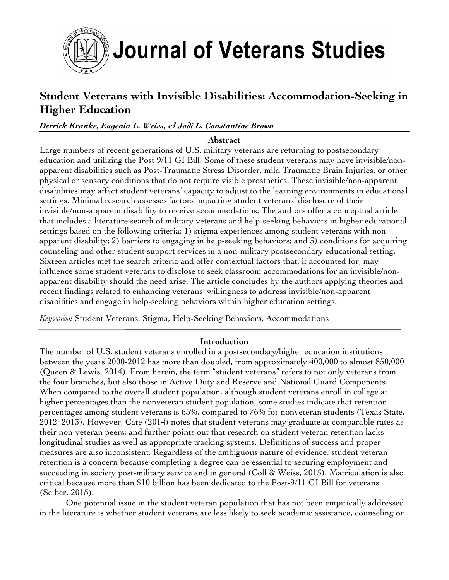

Journal of Veterans Studies

# **Student Veterans with Invisible Disabilities: Accommodation-Seeking in Higher Education**

## *Derrick Kranke, Eugenia L. Weiss, & Jodi L. Constantine Brown*

#### **Abstract**

Large numbers of recent generations of U.S. military veterans are returning to postsecondary education and utilizing the Post 9/11 GI Bill. Some of these student veterans may have invisible/nonapparent disabilities such as Post-Traumatic Stress Disorder, mild Traumatic Brain Injuries, or other physical or sensory conditions that do not require visible prosthetics. These invisible/non-apparent disabilities may affect student veterans' capacity to adjust to the learning environments in educational settings. Minimal research assesses factors impacting student veterans' disclosure of their invisible/non-apparent disability to receive accommodations. The authors offer a conceptual article that includes a literature search of military veterans and help-seeking behaviors in higher educational settings based on the following criteria: 1) stigma experiences among student veterans with nonapparent disability; 2) barriers to engaging in help-seeking behaviors; and 3) conditions for acquiring counseling and other student support services in a non-military postsecondary educational setting. Sixteen articles met the search criteria and offer contextual factors that, if accounted for, may influence some student veterans to disclose to seek classroom accommodations for an invisible/nonapparent disability should the need arise. The article concludes by the authors applying theories and recent findings related to enhancing veterans' willingness to address invisible/non-apparent disabilities and engage in help-seeking behaviors within higher education settings.

*Keywords:* Student Veterans, Stigma, Help-Seeking Behaviors, Accommodations

#### **Introduction**

The number of U.S. student veterans enrolled in a postsecondary/higher education institutions between the years 2000-2012 has more than doubled, from approximately 400,000 to almost 850,000 (Queen & Lewis, 2014). From herein, the term "student veterans" refers to not only veterans from the four branches, but also those in Active Duty and Reserve and National Guard Components. When compared to the overall student population, although student veterans enroll in college at higher percentages than the nonveteran student population, some studies indicate that retention percentages among student veterans is 65%, compared to 76% for nonveteran students (Texas State, 2012; 2013). However, Cate (2014) notes that student veterans may graduate at comparable rates as their non-veteran peers; and further points out that research on student veteran retention lacks longitudinal studies as well as appropriate tracking systems. Definitions of success and proper measures are also inconsistent. Regardless of the ambiguous nature of evidence, student veteran retention is a concern because completing a degree can be essential to securing employment and succeeding in society post-military service and in general (Coll & Weiss, 2015). Matriculation is also critical because more than \$10 billion has been dedicated to the Post-9/11 GI Bill for veterans (Selber, 2015).

One potential issue in the student veteran population that has not been empirically addressed in the literature is whether student veterans are less likely to seek academic assistance, counseling or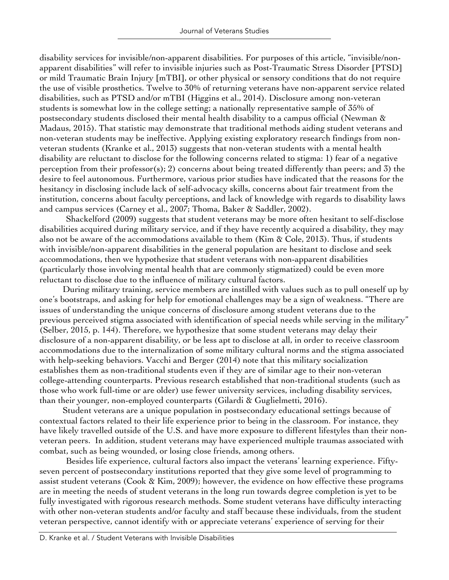disability services for invisible/non-apparent disabilities. For purposes of this article, "invisible/nonapparent disabilities" will refer to invisible injuries such as Post-Traumatic Stress Disorder [PTSD] or mild Traumatic Brain Injury [mTBI], or other physical or sensory conditions that do not require the use of visible prosthetics. Twelve to 30% of returning veterans have non-apparent service related disabilities, such as PTSD and/or mTBI (Higgins et al., 2014). Disclosure among non-veteran students is somewhat low in the college setting; a nationally representative sample of 35% of postsecondary students disclosed their mental health disability to a campus official (Newman & Madaus, 2015). That statistic may demonstrate that traditional methods aiding student veterans and non-veteran students may be ineffective. Applying existing exploratory research findings from nonveteran students (Kranke et al., 2013) suggests that non-veteran students with a mental health disability are reluctant to disclose for the following concerns related to stigma: 1) fear of a negative perception from their professor(s); 2) concerns about being treated differently than peers; and 3) the desire to feel autonomous. Furthermore, various prior studies have indicated that the reasons for the hesitancy in disclosing include lack of self-advocacy skills, concerns about fair treatment from the institution, concerns about faculty perceptions, and lack of knowledge with regards to disability laws and campus services (Carney et al., 2007; Thoma, Baker & Saddler, 2002).

Shackelford (2009) suggests that student veterans may be more often hesitant to self-disclose disabilities acquired during military service, and if they have recently acquired a disability, they may also not be aware of the accommodations available to them (Kim  $\alpha$  Cole, 2013). Thus, if students with invisible/non-apparent disabilities in the general population are hesitant to disclose and seek accommodations, then we hypothesize that student veterans with non-apparent disabilities (particularly those involving mental health that are commonly stigmatized) could be even more reluctant to disclose due to the influence of military cultural factors.

During military training, service members are instilled with values such as to pull oneself up by one's bootstraps, and asking for help for emotional challenges may be a sign of weakness. "There are issues of understanding the unique concerns of disclosure among student veterans due to the previous perceived stigma associated with identification of special needs while serving in the military" (Selber, 2015, p. 144). Therefore, we hypothesize that some student veterans may delay their disclosure of a non-apparent disability, or be less apt to disclose at all, in order to receive classroom accommodations due to the internalization of some military cultural norms and the stigma associated with help-seeking behaviors. Vacchi and Berger (2014) note that this military socialization establishes them as non-traditional students even if they are of similar age to their non-veteran college-attending counterparts. Previous research established that non-traditional students (such as those who work full-time or are older) use fewer university services, including disability services, than their younger, non-employed counterparts (Gilardi & Guglielmetti, 2016).

Student veterans are a unique population in postsecondary educational settings because of contextual factors related to their life experience prior to being in the classroom. For instance, they have likely travelled outside of the U.S. and have more exposure to different lifestyles than their nonveteran peers. In addition, student veterans may have experienced multiple traumas associated with combat, such as being wounded, or losing close friends, among others.

Besides life experience, cultural factors also impact the veterans' learning experience. Fiftyseven percent of postsecondary institutions reported that they give some level of programming to assist student veterans (Cook & Kim, 2009); however, the evidence on how effective these programs are in meeting the needs of student veterans in the long run towards degree completion is yet to be fully investigated with rigorous research methods. Some student veterans have difficulty interacting with other non-veteran students and/or faculty and staff because these individuals, from the student veteran perspective, cannot identify with or appreciate veterans' experience of serving for their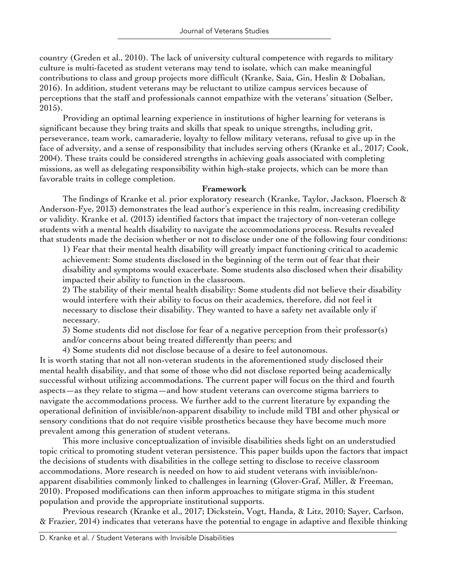country (Greden et al., 2010). The lack of university cultural competence with regards to military culture is multi-faceted as student veterans may tend to isolate, which can make meaningful contributions to class and group projects more difficult (Kranke, Saia, Gin, Heslin & Dobalian, 2016). In addition, student veterans may be reluctant to utilize campus services because of perceptions that the staff and professionals cannot empathize with the veterans' situation (Selber, 2015).

Providing an optimal learning experience in institutions of higher learning for veterans is significant because they bring traits and skills that speak to unique strengths, including grit, perseverance, team work, camaraderie, loyalty to fellow military veterans, refusal to give up in the face of adversity, and a sense of responsibility that includes serving others (Kranke et al., 2017; Cook, 2004). These traits could be considered strengths in achieving goals associated with completing missions, as well as delegating responsibility within high-stake projects, which can be more than favorable traits in college completion.

#### **Framework**

The findings of Kranke et al. prior exploratory research (Kranke, Taylor, Jackson, Floersch & Anderson-Fye, 2013) demonstrates the lead author's experience in this realm, increasing credibility or validity. Kranke et al. (2013) identified factors that impact the trajectory of non-veteran college students with a mental health disability to navigate the accommodations process. Results revealed that students made the decision whether or not to disclose under one of the following four conditions:

1) Fear that their mental health disability will greatly impact functioning critical to academic achievement: Some students disclosed in the beginning of the term out of fear that their disability and symptoms would exacerbate. Some students also disclosed when their disability impacted their ability to function in the classroom.

2) The stability of their mental health disability: Some students did not believe their disability would interfere with their ability to focus on their academics, therefore, did not feel it necessary to disclose their disability. They wanted to have a safety net available only if necessary.

3) Some students did not disclose for fear of a negative perception from their professor(s) and/or concerns about being treated differently than peers; and

4) Some students did not disclose because of a desire to feel autonomous.

It is worth stating that not all non-veteran students in the aforementioned study disclosed their mental health disability, and that some of those who did not disclose reported being academically successful without utilizing accommodations. The current paper will focus on the third and fourth aspects—as they relate to stigma—and how student veterans can overcome stigma barriers to navigate the accommodations process. We further add to the current literature by expanding the operational definition of invisible/non-apparent disability to include mild TBI and other physical or sensory conditions that do not require visible prosthetics because they have become much more prevalent among this generation of student veterans.

This more inclusive conceptualization of invisible disabilities sheds light on an understudied topic critical to promoting student veteran persistence. This paper builds upon the factors that impact the decisions of students with disabilities in the college setting to disclose to receive classroom accommodations. More research is needed on how to aid student veterans with invisible/nonapparent disabilities commonly linked to challenges in learning (Glover-Graf, Miller, & Freeman, 2010). Proposed modifications can then inform approaches to mitigate stigma in this student population and provide the appropriate institutional supports.

Previous research (Kranke et al., 2017; Dickstein, Vogt, Handa, & Litz, 2010; Sayer, Carlson, & Frazier, 2014) indicates that veterans have the potential to engage in adaptive and flexible thinking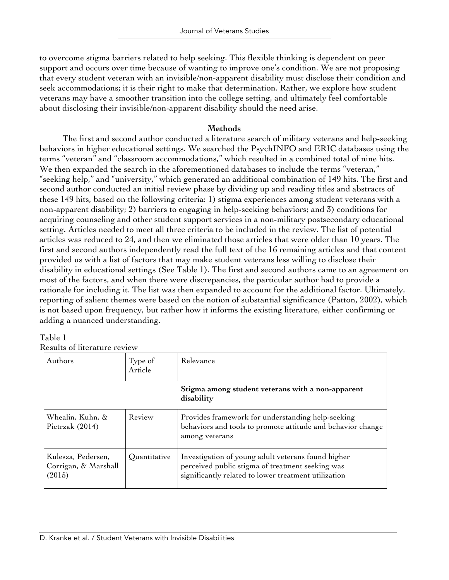to overcome stigma barriers related to help seeking. This flexible thinking is dependent on peer support and occurs over time because of wanting to improve one's condition. We are not proposing that every student veteran with an invisible/non-apparent disability must disclose their condition and seek accommodations; it is their right to make that determination. Rather, we explore how student veterans may have a smoother transition into the college setting, and ultimately feel comfortable about disclosing their invisible/non-apparent disability should the need arise.

## **Methods**

The first and second author conducted a literature search of military veterans and help-seeking behaviors in higher educational settings. We searched the PsychINFO and ERIC databases using the terms "veteran" and "classroom accommodations," which resulted in a combined total of nine hits. We then expanded the search in the aforementioned databases to include the terms "veteran," "seeking help," and "university," which generated an additional combination of 149 hits. The first and second author conducted an initial review phase by dividing up and reading titles and abstracts of these 149 hits, based on the following criteria: 1) stigma experiences among student veterans with a non-apparent disability; 2) barriers to engaging in help-seeking behaviors; and 3) conditions for acquiring counseling and other student support services in a non-military postsecondary educational setting. Articles needed to meet all three criteria to be included in the review. The list of potential articles was reduced to 24, and then we eliminated those articles that were older than 10 years. The first and second authors independently read the full text of the 16 remaining articles and that content provided us with a list of factors that may make student veterans less willing to disclose their disability in educational settings (See Table 1). The first and second authors came to an agreement on most of the factors, and when there were discrepancies, the particular author had to provide a rationale for including it. The list was then expanded to account for the additional factor. Ultimately, reporting of salient themes were based on the notion of substantial significance (Patton, 2002), which is not based upon frequency, but rather how it informs the existing literature, either confirming or adding a nuanced understanding.

## Table 1

Results of literature review

| Authors                                              | Type of<br>Article | Relevance                                                                                                                                                      |
|------------------------------------------------------|--------------------|----------------------------------------------------------------------------------------------------------------------------------------------------------------|
|                                                      |                    | Stigma among student veterans with a non-apparent<br>disability                                                                                                |
| Whealin, Kuhn, &<br>Pietrzak $(2014)$                | Review             | Provides framework for understanding help-seeking<br>behaviors and tools to promote attitude and behavior change<br>among veterans                             |
| Kulesza, Pedersen,<br>Corrigan, & Marshall<br>(2015) | Quantitative       | Investigation of young adult veterans found higher<br>perceived public stigma of treatment seeking was<br>significantly related to lower treatment utilization |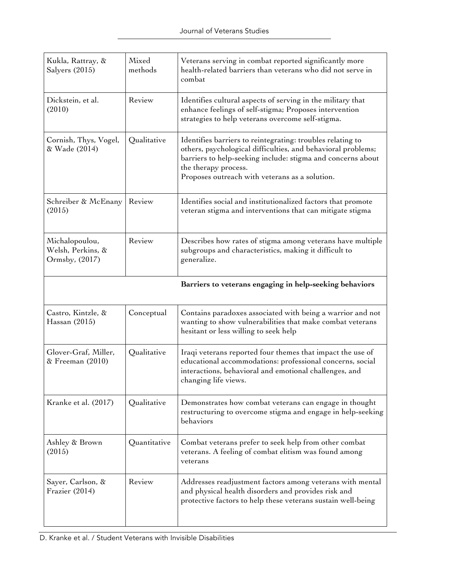| Kukla, Rattray, &<br>Salyers (2015)                   | Mixed<br>methods | Veterans serving in combat reported significantly more<br>health-related barriers than veterans who did not serve in<br>combat                                                                                                                                      |
|-------------------------------------------------------|------------------|---------------------------------------------------------------------------------------------------------------------------------------------------------------------------------------------------------------------------------------------------------------------|
| Dickstein, et al.<br>(2010)                           | Review           | Identifies cultural aspects of serving in the military that<br>enhance feelings of self-stigma; Proposes intervention<br>strategies to help veterans overcome self-stigma.                                                                                          |
| Cornish, Thys, Vogel,<br>& Wade (2014)                | Qualitative      | Identifies barriers to reintegrating: troubles relating to<br>others, psychological difficulties, and behavioral problems;<br>barriers to help-seeking include: stigma and concerns about<br>the therapy process.<br>Proposes outreach with veterans as a solution. |
| Schreiber & McEnany<br>(2015)                         | Review           | Identifies social and institutionalized factors that promote<br>veteran stigma and interventions that can mitigate stigma                                                                                                                                           |
| Michalopoulou,<br>Welsh, Perkins, &<br>Ormsby, (2017) | Review           | Describes how rates of stigma among veterans have multiple<br>subgroups and characteristics, making it difficult to<br>generalize.                                                                                                                                  |
|                                                       |                  | Barriers to veterans engaging in help-seeking behaviors                                                                                                                                                                                                             |
| Castro, Kintzle, &<br>Hassan $(2015)$                 | Conceptual       | Contains paradoxes associated with being a warrior and not<br>wanting to show vulnerabilities that make combat veterans<br>hesitant or less willing to seek help                                                                                                    |
| Glover-Graf, Miller,<br>& Freeman (2010)              | Qualitative      | Iraqi veterans reported four themes that impact the use of<br>educational accommodations: professional concerns, social<br>interactions, behavioral and emotional challenges, and<br>changing life views.                                                           |
| Kranke et al. (2017)                                  | Qualitative      | Demonstrates how combat veterans can engage in thought<br>restructuring to overcome stigma and engage in help-seeking<br>behaviors                                                                                                                                  |
| Ashley & Brown<br>(2015)                              | Quantitative     | Combat veterans prefer to seek help from other combat<br>veterans. A feeling of combat elitism was found among<br>veterans                                                                                                                                          |
| Sayer, Carlson, &<br>Frazier (2014)                   | Review           | Addresses readjustment factors among veterans with mental<br>and physical health disorders and provides risk and<br>protective factors to help these veterans sustain well-being                                                                                    |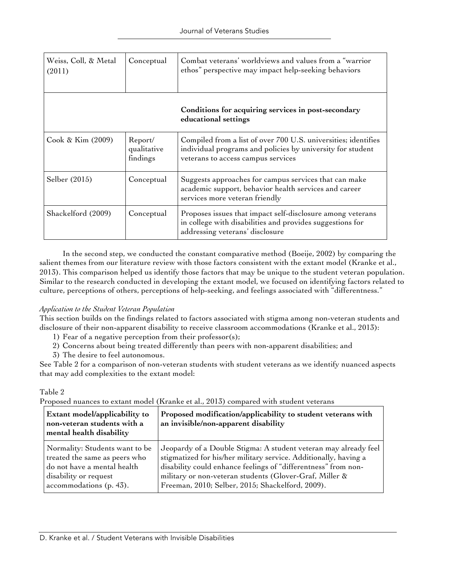| Weiss, Coll, & Metal<br>(2011) | Conceptual                         | Combat veterans' worldviews and values from a "warrior<br>ethos" perspective may impact help-seeking behaviors                                                     |
|--------------------------------|------------------------------------|--------------------------------------------------------------------------------------------------------------------------------------------------------------------|
|                                |                                    | Conditions for acquiring services in post-secondary<br>educational settings                                                                                        |
| Cook & Kim (2009)              | Report/<br>qualitative<br>findings | Compiled from a list of over 700 U.S. universities; identifies<br>individual programs and policies by university for student<br>veterans to access campus services |
| Selber (2015)                  | Conceptual                         | Suggests approaches for campus services that can make<br>academic support, behavior health services and career<br>services more veteran friendly                   |
| Shackelford (2009)             | Conceptual                         | Proposes issues that impact self-disclosure among veterans<br>in college with disabilities and provides suggestions for<br>addressing veterans' disclosure         |

In the second step, we conducted the constant comparative method (Boeije, 2002) by comparing the salient themes from our literature review with those factors consistent with the extant model (Kranke et al., 2013). This comparison helped us identify those factors that may be unique to the student veteran population. Similar to the research conducted in developing the extant model, we focused on identifying factors related to culture, perceptions of others, perceptions of help-seeking, and feelings associated with "differentness."

#### *Application to the Student Veteran Population*

This section builds on the findings related to factors associated with stigma among non-veteran students and disclosure of their non-apparent disability to receive classroom accommodations (Kranke et al., 2013):

- 1) Fear of a negative perception from their professor(s);
- 2) Concerns about being treated differently than peers with non-apparent disabilities; and
- 3) The desire to feel autonomous.

See Table 2 for a comparison of non-veteran students with student veterans as we identify nuanced aspects that may add complexities to the extant model:

#### Table 2

Proposed nuances to extant model (Kranke et al., 2013) compared with student veterans

| Extant model/applicability to<br>non-veteran students with a<br>mental health disability | Proposed modification/applicability to student veterans with<br>an invisible/non-apparent disability |
|------------------------------------------------------------------------------------------|------------------------------------------------------------------------------------------------------|
| Normality: Students want to be                                                           | Jeopardy of a Double Stigma: A student veteran may already feel                                      |
| treated the same as peers who                                                            | stigmatized for his/her military service. Additionally, having a                                     |
| do not have a mental health                                                              | disability could enhance feelings of "differentness" from non-                                       |
| disability or request                                                                    | military or non-veteran students (Glover-Graf, Miller &                                              |
| accommodations (p. 43).                                                                  | Freeman, 2010; Selber, 2015; Shackelford, 2009).                                                     |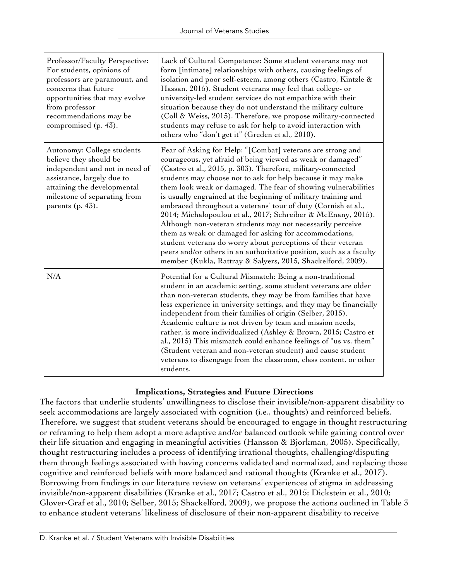| Professor/Faculty Perspective:<br>For students, opinions of<br>professors are paramount, and<br>concerns that future<br>opportunities that may evolve<br>from professor<br>recommendations may be<br>compromised (p. 43). | Lack of Cultural Competence: Some student veterans may not<br>form [intimate] relationships with others, causing feelings of<br>isolation and poor self-esteem, among others (Castro, Kintzle &<br>Hassan, 2015). Student veterans may feel that college- or<br>university-led student services do not empathize with their<br>situation because they do not understand the military culture<br>(Coll & Weiss, 2015). Therefore, we propose military-connected<br>students may refuse to ask for help to avoid interaction with<br>others who "don't get it" (Greden et al., 2010).                                                                                                                                                                                                                                                                         |
|---------------------------------------------------------------------------------------------------------------------------------------------------------------------------------------------------------------------------|-------------------------------------------------------------------------------------------------------------------------------------------------------------------------------------------------------------------------------------------------------------------------------------------------------------------------------------------------------------------------------------------------------------------------------------------------------------------------------------------------------------------------------------------------------------------------------------------------------------------------------------------------------------------------------------------------------------------------------------------------------------------------------------------------------------------------------------------------------------|
| Autonomy: College students<br>believe they should be<br>independent and not in need of<br>assistance, largely due to<br>attaining the developmental<br>milestone of separating from<br>parents (p. 43).                   | Fear of Asking for Help: "[Combat] veterans are strong and<br>courageous, yet afraid of being viewed as weak or damaged"<br>(Castro et al., 2015, p. 303). Therefore, military-connected<br>students may choose not to ask for help because it may make<br>them look weak or damaged. The fear of showing vulnerabilities<br>is usually engrained at the beginning of military training and<br>embraced throughout a veterans' tour of duty (Cornish et al.,<br>2014; Michalopoulou et al., 2017; Schreiber & McEnany, 2015).<br>Although non-veteran students may not necessarily perceive<br>them as weak or damaged for asking for accommodations,<br>student veterans do worry about perceptions of their veteran<br>peers and/or others in an authoritative position, such as a faculty<br>member (Kukla, Rattray & Salyers, 2015, Shackelford, 2009). |
| N/A                                                                                                                                                                                                                       | Potential for a Cultural Mismatch: Being a non-traditional<br>student in an academic setting, some student veterans are older<br>than non-veteran students, they may be from families that have<br>less experience in university settings, and they may be financially<br>independent from their families of origin (Selber, 2015).<br>Academic culture is not driven by team and mission needs,<br>rather, is more individualized (Ashley & Brown, 2015; Castro et<br>al., 2015) This mismatch could enhance feelings of "us vs. them"<br>(Student veteran and non-veteran student) and cause student<br>veterans to disengage from the classroom, class content, or other<br>students.                                                                                                                                                                    |

## **Implications, Strategies and Future Directions**

The factors that underlie students' unwillingness to disclose their invisible/non-apparent disability to seek accommodations are largely associated with cognition (i.e., thoughts) and reinforced beliefs. Therefore, we suggest that student veterans should be encouraged to engage in thought restructuring or reframing to help them adopt a more adaptive and/or balanced outlook while gaining control over their life situation and engaging in meaningful activities (Hansson & Bjorkman, 2005). Specifically, thought restructuring includes a process of identifying irrational thoughts, challenging/disputing them through feelings associated with having concerns validated and normalized, and replacing those cognitive and reinforced beliefs with more balanced and rational thoughts (Kranke et al., 2017). Borrowing from findings in our literature review on veterans' experiences of stigma in addressing invisible/non-apparent disabilities (Kranke et al., 2017; Castro et al., 2015; Dickstein et al., 2010; Glover-Graf et al., 2010; Selber, 2015; Shackelford, 2009), we propose the actions outlined in Table 3 to enhance student veterans' likeliness of disclosure of their non-apparent disability to receive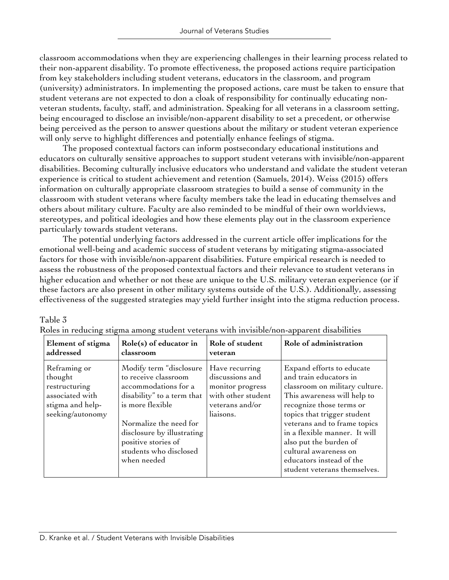classroom accommodations when they are experiencing challenges in their learning process related to their non-apparent disability. To promote effectiveness, the proposed actions require participation from key stakeholders including student veterans, educators in the classroom, and program (university) administrators. In implementing the proposed actions, care must be taken to ensure that student veterans are not expected to don a cloak of responsibility for continually educating nonveteran students, faculty, staff, and administration. Speaking for all veterans in a classroom setting, being encouraged to disclose an invisible/non-apparent disability to set a precedent, or otherwise being perceived as the person to answer questions about the military or student veteran experience will only serve to highlight differences and potentially enhance feelings of stigma.

The proposed contextual factors can inform postsecondary educational institutions and educators on culturally sensitive approaches to support student veterans with invisible/non-apparent disabilities. Becoming culturally inclusive educators who understand and validate the student veteran experience is critical to student achievement and retention (Samuels, 2014). Weiss (2015) offers information on culturally appropriate classroom strategies to build a sense of community in the classroom with student veterans where faculty members take the lead in educating themselves and others about military culture. Faculty are also reminded to be mindful of their own worldviews, stereotypes, and political ideologies and how these elements play out in the classroom experience particularly towards student veterans.

The potential underlying factors addressed in the current article offer implications for the emotional well-being and academic success of student veterans by mitigating stigma-associated factors for those with invisible/non-apparent disabilities. Future empirical research is needed to assess the robustness of the proposed contextual factors and their relevance to student veterans in higher education and whether or not these are unique to the U.S. military veteran experience (or if these factors are also present in other military systems outside of the U.S.). Additionally, assessing effectiveness of the suggested strategies may yield further insight into the stigma reduction process.

## Table 3

| Element of stigma                                                                                   | Role(s) of educator in                                                                                                                                                                                                                            | Role of student                                                                                             | Role of administration                                                                                                                                                                                                                                                                                                                                          |
|-----------------------------------------------------------------------------------------------------|---------------------------------------------------------------------------------------------------------------------------------------------------------------------------------------------------------------------------------------------------|-------------------------------------------------------------------------------------------------------------|-----------------------------------------------------------------------------------------------------------------------------------------------------------------------------------------------------------------------------------------------------------------------------------------------------------------------------------------------------------------|
| addressed                                                                                           | classroom                                                                                                                                                                                                                                         | veteran                                                                                                     |                                                                                                                                                                                                                                                                                                                                                                 |
| Reframing or<br>thought<br>restructuring<br>associated with<br>stigma and help-<br>seeking/autonomy | Modify term "disclosure<br>to receive classroom<br>accommodations for a<br>disability" to a term that<br>is more flexible<br>Normalize the need for<br>disclosure by illustrating<br>positive stories of<br>students who disclosed<br>when needed | Have recurring<br>discussions and<br>monitor progress<br>with other student<br>veterans and/or<br>liaisons. | Expand efforts to educate<br>and train educators in<br>classroom on military culture.<br>This awareness will help to<br>recognize those terms or<br>topics that trigger student<br>veterans and to frame topics<br>in a flexible manner. It will<br>also put the burden of<br>cultural awareness on<br>educators instead of the<br>student veterans themselves. |

Roles in reducing stigma among student veterans with invisible/non-apparent disabilities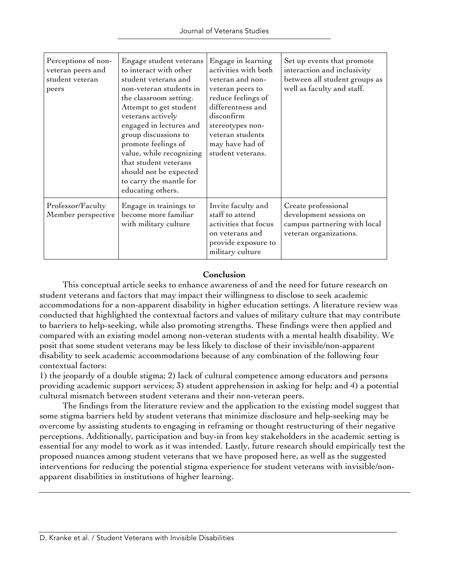| Perceptions of non-<br>veteran peers and<br>student veteran<br>peers | Engage student veterans<br>to interact with other<br>student veterans and<br>non-veteran students in<br>the classroom setting.<br>Attempt to get student<br>veterans actively<br>engaged in lectures and<br>group discussions to<br>promote feelings of<br>value, while recognizing<br>that student veterans<br>should not be expected<br>to carry the mantle for<br>educating others. | Engage in learning<br>activities with both<br>veteran and non-<br>veteran peers to<br>reduce feelings of<br>differentness and<br>disconfirm<br>stereotypes non-<br>veteran students<br>may have had of<br>student veterans. | Set up events that promote<br>interaction and inclusivity<br>between all student groups as<br>well as faculty and staff. |
|----------------------------------------------------------------------|----------------------------------------------------------------------------------------------------------------------------------------------------------------------------------------------------------------------------------------------------------------------------------------------------------------------------------------------------------------------------------------|-----------------------------------------------------------------------------------------------------------------------------------------------------------------------------------------------------------------------------|--------------------------------------------------------------------------------------------------------------------------|
| Professor/Faculty<br>Member perspective                              | Engage in trainings to<br>become more familiar<br>with military culture                                                                                                                                                                                                                                                                                                                | Invite faculty and<br>staff to attend<br>activities that focus<br>on veterans and<br>provide exposure to<br>military culture                                                                                                | Create professional<br>development sessions on<br>campus partnering with local<br>veteran organizations.                 |

#### **Conclusion**

This conceptual article seeks to enhance awareness of and the need for future research on student veterans and factors that may impact their willingness to disclose to seek academic accommodations for a non-apparent disability in higher education settings. A literature review was conducted that highlighted the contextual factors and values of military culture that may contribute to barriers to help-seeking, while also promoting strengths. These findings were then applied and compared with an existing model among non-veteran students with a mental health disability. We posit that some student veterans may be less likely to disclose of their invisible/non-apparent disability to seek academic accommodations because of any combination of the following four contextual factors:

1) the jeopardy of a double stigma; 2) lack of cultural competence among educators and persons providing academic support services; 3) student apprehension in asking for help; and 4) a potential cultural mismatch between student veterans and their non-veteran peers.

The findings from the literature review and the application to the existing model suggest that some stigma barriers held by student veterans that minimize disclosure and help-seeking may be overcome by assisting students to engaging in reframing or thought restructuring of their negative perceptions. Additionally, participation and buy-in from key stakeholders in the academic setting is essential for any model to work as it was intended. Lastly, future research should empirically test the proposed nuances among student veterans that we have proposed here, as well as the suggested interventions for reducing the potential stigma experience for student veterans with invisible/nonapparent disabilities in institutions of higher learning.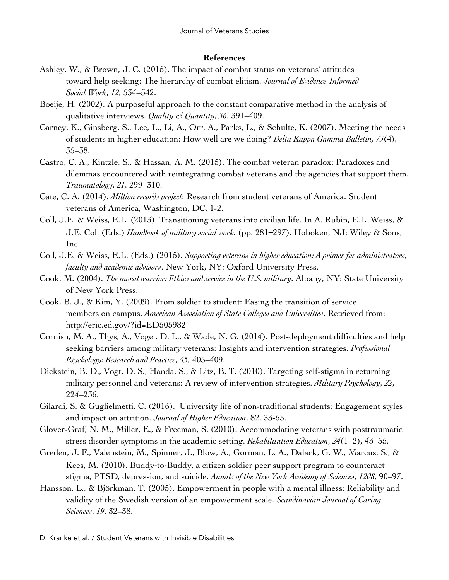#### **References**

- Ashley, W., & Brown, J. C. (2015). The impact of combat status on veterans' attitudes toward help seeking: The hierarchy of combat elitism. *Journal of Evidence-Informed Social Work*, *12*, 534–542.
- Boeije, H. (2002). A purposeful approach to the constant comparative method in the analysis of qualitative interviews. *Quality & Quantity*, *36*, 391–409.
- Carney, K., Ginsberg, S., Lee, L., Li, A., Orr, A., Parks, L., & Schulte, K. (2007). Meeting the needs of students in higher education: How well are we doing? *Delta Kappa Gamma Bulletin, 73*(4), 35–38.
- Castro, C. A., Kintzle, S., & Hassan, A. M. (2015). The combat veteran paradox: Paradoxes and dilemmas encountered with reintegrating combat veterans and the agencies that support them. *Traumatology*, *21*, 299–310.
- Cate, C. A. (2014). *Million records project*: Research from student veterans of America. Student veterans of America, Washington, DC, 1-2.
- Coll, J.E. & Weiss, E.L. (2013). Transitioning veterans into civilian life. In A. Rubin, E.L. Weiss, & J.E. Coll (Eds.) *Handbook of military social work.* (pp. 281–297). Hoboken, NJ: Wiley & Sons, Inc.
- Coll, J.E. & Weiss, E.L. (Eds.) (2015). *Supporting veterans in higher education: A primer for administrators, faculty and academic advisors*. New York, NY: Oxford University Press.
- Cook, M. (2004). *The moral warrior: Ethics and service in the U.S. military*. Albany, NY: State University of New York Press.
- Cook, B. J., & Kim, Y. (2009). From soldier to student: Easing the transition of service members on campus. *American Association of State Colleges and Universities*. Retrieved from: http://eric.ed.gov/?id=ED505982
- Cornish, M. A., Thys, A., Vogel, D. L., & Wade, N. G. (2014). Post-deployment difficulties and help seeking barriers among military veterans: Insights and intervention strategies. *Professional Psychology: Research and Practice*, *45*, 405–409.
- Dickstein, B. D., Vogt, D. S., Handa, S., & Litz, B. T. (2010). Targeting self-stigma in returning military personnel and veterans: A review of intervention strategies. *Military Psychology*, *22*, 224–236.
- Gilardi, S. & Guglielmetti, C. (2016). University life of non-traditional students: Engagement styles and impact on attrition. *Journal of Higher Education*, 82, 33-53.
- Glover-Graf, N. M., Miller, E., & Freeman, S. (2010). Accommodating veterans with posttraumatic stress disorder symptoms in the academic setting. *Rehabilitation Education*, *24*(1–2), 43–55.
- Greden, J. F., Valenstein, M., Spinner, J., Blow, A., Gorman, L. A., Dalack, G. W., Marcus, S., & Kees, M. (2010). Buddy-to-Buddy, a citizen soldier peer support program to counteract stigma, PTSD, depression, and suicide. *Annals of the New York Academy of Sciences*, *1208*, 90–97.
- Hansson, L., & Björkman, T. (2005). Empowerment in people with a mental illness: Reliability and validity of the Swedish version of an empowerment scale. *Scandinavian Journal of Caring Sciences*, *19*, 32–38.

D. Kranke et al. / Student Veterans with Invisible Disabilities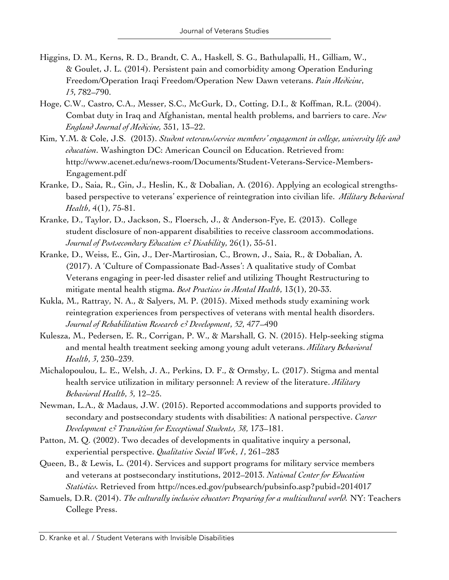- Higgins, D. M., Kerns, R. D., Brandt, C. A., Haskell, S. G., Bathulapalli, H., Gilliam, W., & Goulet, J. L. (2014). Persistent pain and comorbidity among Operation Enduring Freedom/Operation Iraqi Freedom/Operation New Dawn veterans. *Pain Medicine*, *15*, 782–790.
- Hoge, C.W., Castro, C.A., Messer, S.C., McGurk, D., Cotting, D.I., & Koffman, R.L. (2004). Combat duty in Iraq and Afghanistan, mental health problems, and barriers to care. *New England Journal of Medicine,* 351, 13–22.
- Kim, Y.M. & Cole, J.S. (2013). *Student veterans/service members' engagement in college, university life and education*. Washington DC: American Council on Education. Retrieved from: http://www.acenet.edu/news-room/Documents/Student-Veterans-Service-Members-Engagement.pdf
- Kranke, D., Saia, R., Gin, J., Heslin, K., & Dobalian, A. (2016). Applying an ecological strengthsbased perspective to veterans' experience of reintegration into civilian life. *Military Behavioral Health*, 4(1), 75-81.
- Kranke, D., Taylor, D., Jackson, S., Floersch, J., & Anderson-Fye, E. (2013). College student disclosure of non-apparent disabilities to receive classroom accommodations. *Journal of Postsecondary Education & Disability*, 26(1), 35-51.
- Kranke, D., Weiss, E., Gin, J., Der-Martirosian, C., Brown, J., Saia, R., & Dobalian, A. (2017). A 'Culture of Compassionate Bad-Asses': A qualitative study of Combat Veterans engaging in peer-led disaster relief and utilizing Thought Restructuring to mitigate mental health stigma. *Best Practices in Mental Health*, 13(1), 20-33.
- Kukla, M., Rattray, N. A., & Salyers, M. P. (2015). Mixed methods study examining work reintegration experiences from perspectives of veterans with mental health disorders. *Journal of Rehabilitation Research & Development*, *52*, 477–490
- Kulesza, M., Pedersen, E. R., Corrigan, P. W., & Marshall, G. N. (2015). Help-seeking stigma and mental health treatment seeking among young adult veterans. *Military Behavioral Health*, *3*, 230–239.
- Michalopoulou, L. E., Welsh, J. A., Perkins, D. F., & Ormsby, L. (2017). Stigma and mental health service utilization in military personnel: A review of the literature. *Military Behavioral Health*, *5*, 12–25.
- Newman, L.A., & Madaus, J.W. (2015). Reported accommodations and supports provided to secondary and postsecondary students with disabilities: A national perspective. *Career Development & Transition for Exceptional Students, 38*, 173–181.
- Patton, M. Q. (2002). Two decades of developments in qualitative inquiry a personal, experiential perspective. *Qualitative Social Work*, *1*, 261–283
- Queen, B., & Lewis, L. (2014). Services and support programs for military service members and veterans at postsecondary institutions, 2012–2013. *National Center for Education Statistics.* Retrieved from http://nces.ed.gov/pubsearch/pubsinfo.asp?pubid=2014017
- Samuels, D.R. (2014). *The culturally inclusive educator: Preparing for a multicultural world.* NY: Teachers College Press.